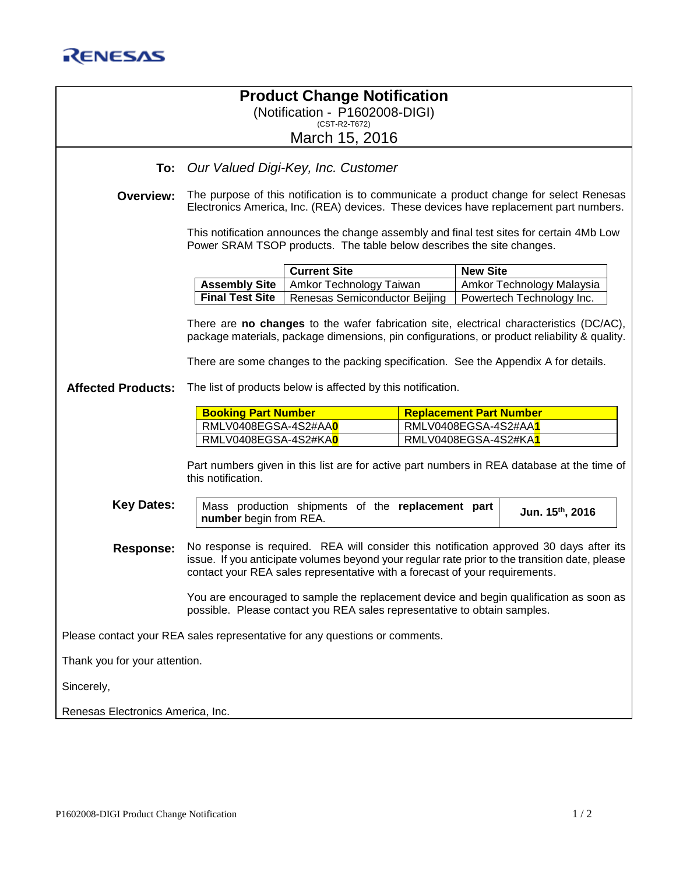## **Product Change Notification** (Notification - P1602008-DIGI) (CST-R2-T672)

March 15, 2016

## **To:** *Our Valued Digi-Key, Inc. Customer*

**Overview:** The purpose of this notification is to communicate a product change for select Renesas Electronics America, Inc. (REA) devices. These devices have replacement part numbers.

> This notification announces the change assembly and final test sites for certain 4Mb Low Power SRAM TSOP products. The table below describes the site changes.

| <b>Current Site</b>                                                                | <b>New Site</b>           |
|------------------------------------------------------------------------------------|---------------------------|
| <b>Assembly Site</b>   Amkor Technology Taiwan                                     | Amkor Technology Malaysia |
| <b>Final Test Site</b>   Renesas Semiconductor Beijing   Powertech Technology Inc. |                           |

There are **no changes** to the wafer fabrication site, electrical characteristics (DC/AC), package materials, package dimensions, pin configurations, or product reliability & quality.

There are some changes to the packing specification. See the Appendix A for details.

**Affected Products:** The list of products below is affected by this notification.

| <b>Booking Part Number</b>         | <b>Replacement Part Number</b>     |  |
|------------------------------------|------------------------------------|--|
| RMLV0408EGSA-4S2#AA <mark>0</mark> | RMLV0408EGSA-4S2#AA <mark>1</mark> |  |
| RMLV0408EGSA-4S2#KA <mark>0</mark> | RMLV0408EGSA-4S2#KA <mark>1</mark> |  |

Part numbers given in this list are for active part numbers in REA database at the time of this notification.

**Key Dates:** | Mass production shipments of the **replacement part number** begin from REA. **th, 2016**

**Response:** No response is required. REA will consider this notification approved 30 days after its issue. If you anticipate volumes beyond your regular rate prior to the transition date, please contact your REA sales representative with a forecast of your requirements.

> You are encouraged to sample the replacement device and begin qualification as soon as possible. Please contact you REA sales representative to obtain samples.

Please contact your REA sales representative for any questions or comments.

Thank you for your attention.

Sincerely,

Renesas Electronics America, Inc.